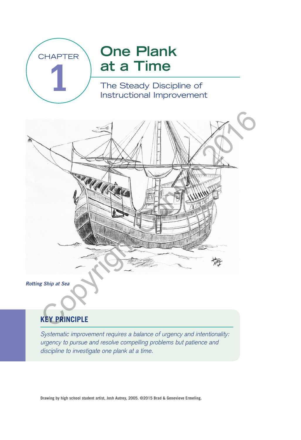



## **KEY PRINCIPLE**

*Systematic improvement requires a balance of urgency and intentionality: urgency to pursue and resolve compelling problems but patience and discipline to investigate one plank at a time.*

**Drawing by high school student artist, Josh Autrey, 2005. ©2015 Brad & Genevieve Ermeling.**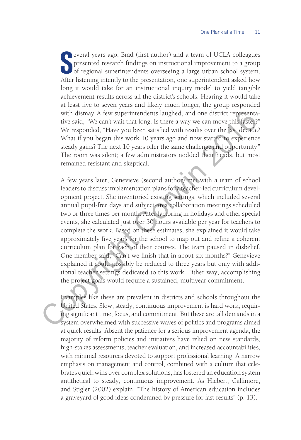SP everal years ago, Brad (first author) and a team of UCLA colleagues<br>
presented research findings on instructional improvement to a group<br>
of regional superintendents overseeing a large urban school system.<br>
After listen presented research findings on instructional improvement to a group of regional superintendents overseeing a large urban school system. After listening intently to the presentation, one superintendent asked how long it would take for an instructional inquiry model to yield tangible achievement results across all the district's schools. Hearing it would take at least five to seven years and likely much longer, the group responded with dismay. A few superintendents laughed, and one district representative said, "We can't wait that long. Is there a way we can move this faster?" We responded, "Have you been satisfied with results over the last decade? What if you began this work 10 years ago and now started to experience steady gains? The next 10 years offer the same challenge and opportunity." The room was silent; a few administrators nodded their heads, but most remained resistant and skeptical.

A few years later, Genevieve (second author) met with a team of school leaders to discuss implementation plans for a teacher-led curriculum development project. She inventoried existing settings, which included several annual pupil-free days and subject-area collaboration meetings scheduled two or three times per month. After factoring in holidays and other special events, she calculated just over 30 hours available per year for teachers to complete the work. Based on these estimates, she explained it would take approximately five years for the school to map out and refine a coherent curriculum plan for each of their courses. The team paused in disbelief. One member said, "Can't we finish that in about six months?" Genevieve explained it could possibly be reduced to three years but only with additional teacher settings dedicated to this work. Either way, accomplishing the project goals would require a sustained, multiyear commitment. with dismay A few superintendents laughed, and one district representative said, "We can't wait that along. Is there a way we can move this laster? We responded, "Have you been satisfied with results over the last decade W

Examples like these are prevalent in districts and schools throughout the United States. Slow, steady, continuous improvement is hard work, requiring significant time, focus, and commitment. But these are tall demands in a system overwhelmed with successive waves of politics and programs aimed at quick results. Absent the patience for a serious improvement agenda, the majority of reform policies and initiatives have relied on new standards, high-stakes assessments, teacher evaluation, and increased accountabilities, with minimal resources devoted to support professional learning. A narrow emphasis on management and control, combined with a culture that celebrates quick wins over complex solutions, has fostered an education system antithetical to steady, continuous improvement. As Hiebert, Gallimore, and Stigler (2002) explain, "The history of American education includes a graveyard of good ideas condemned by pressure for fast results" (p. 13).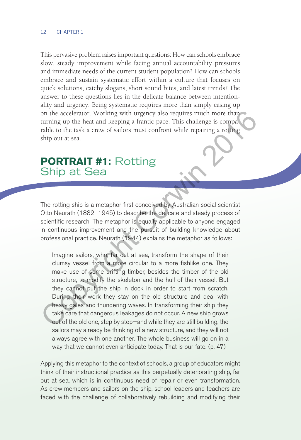This pervasive problem raises important questions: How can schools embrace slow, steady improvement while facing annual accountability pressures and immediate needs of the current student population? How can schools embrace and sustain systematic effort within a culture that focuses on quick solutions, catchy slogans, short sound bites, and latest trends? The answer to these questions lies in the delicate balance between intentionality and urgency. Being systematic requires more than simply easing up on the accelerator. Working with urgency also requires much more than turning up the heat and keeping a frantic pace. This challenge is comparable to the task a crew of sailors must confront while repairing a rotting ship out at sea.

## **PORTRAIT #1:** Rotting Ship at Sea

The rotting ship is a metaphor first conceived by Australian social scientist Otto Neurath (1882–1945) to describe the delicate and steady process of scientific research. The metaphor is equally applicable to anyone engaged in continuous improvement and the pursuit of building knowledge about professional practice. Neurath (1944) explains the metaphor as follows:

Imagine sailors, who, far out at sea, transform the shape of their clumsy vessel from a more circular to a more fishlike one. They make use of some drifting timber, besides the timber of the old structure, to modify the skeleton and the hull of their vessel. But they cannot put the ship in dock in order to start from scratch. During their work they stay on the old structure and deal with heavy gales and thundering waves. In transforming their ship they take care that dangerous leakages do not occur. A new ship grows out of the old one, step by step—and while they are still building, the sailors may already be thinking of a new structure, and they will not always agree with one another. The whole business will go on in a way that we cannot even anticipate today. That is our fate. (p. 47) on the accelerator. Working with urgency also requires much more than<br>
turning up the heat and keeping a frantic pace. This challenge is compared<br>
rable to the task a crew of salors must confront while repairing a round<br>
s

Applying this metaphor to the context of schools, a group of educators might think of their instructional practice as this perpetually deteriorating ship, far out at sea, which is in continuous need of repair or even transformation. As crew members and sailors on the ship, school leaders and teachers are faced with the challenge of collaboratively rebuilding and modifying their